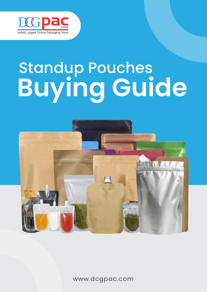

# Standup Pouches **Buying Guide**



www.dcgpac.com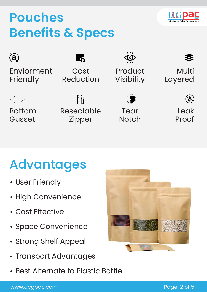### **Pouches Benefits & Specs**



Enviorment **Friendly** 

Bottom

 $\binom{3}{2}$ 

Gusset

 $\mathbb{N}$ Resealable Zipper

Cost

Reduction

Product Visibility

> Tear **Notch**

Layered

Multi

Leak Proof

### Advantages

- User Friendly
- High Convenience
- Cost Effective
- Space Convenience
- Strong Shelf Appeal
- Transport Advantages
- Best Alternate to Plastic Bottle

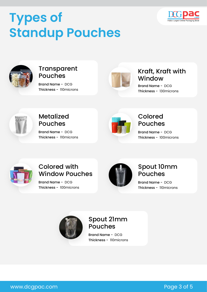## **Types of Standup Pouches**





#### **Transparent** Pouches

Thickness - 110microns Brand Name - DCG



#### Kraft, Kraft with **Window**

Thickness - 130microns Brand Name - DCG



#### Metalized Pouches

Thickness - 110microns Brand Name - DCG



#### Colored Pouches

Thickness - 100microns Brand Name - DCG



#### Colored with Window Pouches

Thickness - 100microns Brand Name - DCG



#### Spout 10mm Pouches

Thickness - 110microns Brand Name - DCG



#### Spout 21mm Pouches

Thickness - 110microns Brand Name - DCG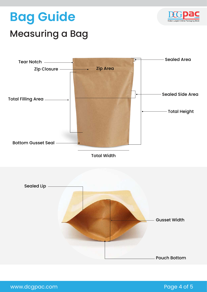### **Bag Guide**



### Measuring a Bag



Total Width